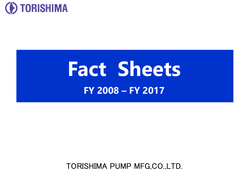

# **Fact Sheets FY 2008 – FY 2017**

TORISHIMA PUMP MFG,CO.,LTD.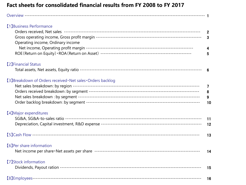#### **Fact sheets for consolidated financial results from FY 2008 to FY 2017**

| [1] Business Performance<br>Operating income, Ordinary income | $\overline{2}$<br>$\overline{\mathbf{3}}$<br>4<br>5 |
|---------------------------------------------------------------|-----------------------------------------------------|
| [2] Financial Status                                          | 6                                                   |
| [3] Breakdown of Orders received · Net sales · Orders backlog | $\overline{7}$<br>8<br>9<br>10                      |
| [4] Major expenditures                                        | 11<br>12                                            |
|                                                               | 13                                                  |
| [6] Per share information                                     | 14                                                  |
| <b>[7] Stock information</b>                                  | 15                                                  |
|                                                               | 16                                                  |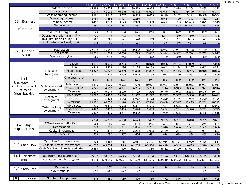Millions of yen

|                 |                                                                                                                                                                           |                | <b>FY2008</b>     | FY2009   | FY2010         | FY2011            | FY2012   | FY2013          | FY2014            | FY2015               | FY2016   | FY2017            |
|-----------------|---------------------------------------------------------------------------------------------------------------------------------------------------------------------------|----------------|-------------------|----------|----------------|-------------------|----------|-----------------|-------------------|----------------------|----------|-------------------|
|                 | Orders received                                                                                                                                                           |                | 46,988            | 58,624   | 32,974         | 39,579            | 40,975   | 52,847          | 42,878            | 51,304               | 43,483   | 42,233            |
|                 | Net sales                                                                                                                                                                 |                | 45,692            | 45,008   | 49,880         | 46,453            | 45,974   | 45,985          | 46,501            | 40,479               | 44,414   | 45,381            |
|                 | Gross operating income                                                                                                                                                    |                | 8,596             | 9,548    | 9,257          | 8,959             | 8,015    | 8,320           | 9,162             | 9,191                | 10,538   | 10,954            |
|                 | Operating income                                                                                                                                                          |                | 2,761             | 3,258    | 3,127          | 2,286             | 517      | ▲945            | 400               | 373                  | 1,462    | 1,257             |
| [1] Business    | Ordinary income                                                                                                                                                           |                | 3,410             | 3,833    | 3,673          | 2,929             | 1,389    | ▲632            | 793               | ▲1,663               | 1,871    | 1,549             |
|                 | Net income                                                                                                                                                                |                | 1,990             | 2,609    | 1,892          | 1,497             | 943      | 442             | 405               | $\triangle$ 2,422    | 1,532    | 854               |
| Performance     |                                                                                                                                                                           |                |                   |          |                |                   |          |                 |                   |                      |          |                   |
|                 | Gross profit margin (%)                                                                                                                                                   |                | 18.8              | 21.2     | 18.6           | 19.3              | 17.4     | 18.1            | 19.7              | 22.7                 | 23.7     | 24.1              |
|                 | Operating profit margin (%)                                                                                                                                               |                | 6.0               | 7.2      | 6.3            | 4.9               | 1.1      | $\triangle$ 2.1 | 0.9               | 0.9                  | 3.3      | 2.8               |
|                 | ROE(Return on Equity)                                                                                                                                                     | (9/6)          | 8.0               | 9.5      | 6.1            | 4.8               | 2.9      | 1.3             | 1.1               | $\blacktriangle$ 7.5 | 4.7      | 2.6               |
|                 | ROA(Return on Asset)                                                                                                                                                      | (9/0)          | 3.2               | 4.0      | 3.1            | 2.5               | 1.4      | 0.6             | 0.6               | $\triangle$ 3.7      | 2.3      | 1.2               |
|                 |                                                                                                                                                                           |                |                   |          |                |                   |          |                 |                   |                      |          |                   |
| 【2】 Financial   | <b>Total assets</b>                                                                                                                                                       |                | 62, 132           | 65,641   | 61,178         | 60,812            | 68,232   | 68,062          | 71,987            | 66,198               | 67,719   | 71,651            |
| <b>Status</b>   |                                                                                                                                                                           |                | 24,006            | 31,083   | 30,968         | 31,775            | 33,602   | 34,524          | 36,532            | 32,794               | 33,713   | 34,017            |
|                 |                                                                                                                                                                           |                | 38.6              | 47.2     | 50.3           | 51.3              | 48.2     | 49.9            | 50.0              | 48.7                 | 48.9     | 47.0              |
|                 | Net assets<br>Equity ratio (%)<br>Japan<br>Asia<br>Middle East<br>Net sales<br>by region<br>Others<br>(9/6)<br>Public sector<br>Orders received<br>by segment<br>Overseas |                |                   |          |                |                   |          |                 |                   |                      |          |                   |
|                 |                                                                                                                                                                           |                | 19,126            | 20,939   | 18,703         | 17,281            | 18,070   | 20,096          | 19,104            | 17,059               | 22,153   | 25,058            |
|                 |                                                                                                                                                                           |                | 8.449             | 5,408    | 11,196         | 13,125            | 10,259   | 9.042           | 11,124            | 11,307               | 8,612    | 8,391             |
|                 |                                                                                                                                                                           |                | 13,347            | 16,248   | 14,369         | 11,430            | 11,887   | 9,753           | 11,115            | 8,225                | 10,940   | 10,064            |
|                 |                                                                                                                                                                           |                | 4,770             | 2,412    | 5,609          | 4,615             | 5,758    | 7,092           | 5,156             | 3,887                | 2,708    | 1,866             |
| [3]             |                                                                                                                                                                           | Overseas ratio | 58.1              | 53.5     | 62.5           | 62.8              | 60.7     | 56.3            | 58.9              | 57.9                 | 50.1     | 44.8              |
| Breakdown of    |                                                                                                                                                                           |                |                   |          |                |                   |          |                 |                   |                      |          |                   |
| Orders received |                                                                                                                                                                           |                | 14,835            | 14,575   | 9.973          | 11,600            | 10,971   | 15,923          | 12,001            | 16,013               | 15,913   | 13,914            |
| Net sales       |                                                                                                                                                                           | Private sector | 5,245             | 4,517    | 4,921          | 6,205             | 5,733    | 7,144           | 6,943             | 8,396                | 7,973    | 8,914             |
| Order backlog   |                                                                                                                                                                           |                | 26,907            | 39,532   | 18,079         | 21,772            | 24,270   | 29,779          | 23,933            | 26,895               | 19,595   | 19,403            |
|                 | Net sales                                                                                                                                                                 | Public sector  | 14,099            | 15,469   | 13,760         | 11,317            | 12,277   | 13,797          | 12,957            | 9,980                | 13,832   | 16,621            |
|                 | by segment                                                                                                                                                                | Private sector | 5,025             | 5,468    | 4,942          | 5,963             | 5,792    | 6,299           | 6,146             | 7,078                | 8,320    | 8,436             |
|                 |                                                                                                                                                                           | Overseas       | 26,566            | 24,069   | 31,176         | 29,172            | 27,904   | 25,888          | 27,397            | 23,419               | 22,261   | 20,322            |
|                 | Order backlog                                                                                                                                                             | Public sector  | 11,209            | 10,316   | 6,528          | 6,811             | 5,505    | 7,631           | 6,675             | 12,707               | 14,788   | 12,082            |
|                 | by segment                                                                                                                                                                | Private sector | 3,428             | 2,477    | 2,455          | 2,698             | 2,639    | 3,484           | 4,281             | 5,598                | 5,251    | 5,729             |
|                 |                                                                                                                                                                           | Overseas       | 35,867            | 51,329   | 38,231         | 30,832            | 27,198   | 31,089          | 27,625            | 31,101               | 28,436   | 27,516            |
|                 |                                                                                                                                                                           |                |                   |          |                |                   |          |                 |                   |                      |          |                   |
|                 | <b>SG&amp;A</b>                                                                                                                                                           |                | 5,834             | 6,290    | 6,130          | 6,673             | 7,497    | 9,265           | 8,761             | 8,818                | 9,705    | 9,697             |
| 【4】Major        | SG&A-to-sales ratio (%)                                                                                                                                                   |                | 12.8              | 14.0     | 12.3           | 14.4              | 16.3     | 20.1            | 18.8              | 21.8                 | 20.4     | 21.4              |
|                 | Depreciation                                                                                                                                                              |                | 873               | 851      | 961            | 1,096             | 1,231    | 1,646           | 1,636             | 1,561                | 1,599    | 1,636             |
| Expenditures    | Capital investment                                                                                                                                                        |                | 739               | 1,311    | 2,297          | 2,224             | 3,083    | 2,139           | 1,221             | 1,391                | 1,084    | 883               |
|                 | R&D expense                                                                                                                                                               |                | 603               | 730      | 567            | 606               | 691      | 678             | 658               | 484                  | 453      | 430               |
|                 |                                                                                                                                                                           |                |                   |          |                |                   |          |                 |                   |                      |          |                   |
|                 | Cash flow from operations                                                                                                                                                 |                | 922               | 4,439    | 735            | 2,661             | 3,513    | ▲4.086          | $\triangle$ 1,194 | 5,000                | 6,496    | 587               |
| [5] Cash Flow   | Cash flow from investments                                                                                                                                                |                | $\triangle$ 1,259 | ▲3,084   | $\triangle$ 75 | $\triangle$ 1,269 | ▲3,966   | ▲4,498          | ▲345              | ▲415                 | 1,376    | $\triangle$ 1,105 |
|                 | Cash flow from financial activities                                                                                                                                       |                | ▲669              | 1,678    | 590            | $\triangle$ 2,371 | 4,356    | ▲112            | 2,120             | $\triangle 1,624$    | ▲4,140   | 1,153             |
|                 |                                                                                                                                                                           |                |                   |          |                |                   |          |                 |                   |                      |          |                   |
| [6] Per share   | Net income per share (yen)                                                                                                                                                |                | 77.32             | 100.07   | 67.45          | 53.38             | 33.64    | 15.74           | 14.61             | ▲88.13               | 56.15    | 31.50             |
| Info            | Net assets per share (yen)                                                                                                                                                |                | 931.13            | 1,105.50 | 1,097.71       | 1,112.29          | 1,172.56 | 1,209.10        | 1,308.22          | 1,179.57             | 1,221.94 | 1,240.33          |
|                 |                                                                                                                                                                           |                |                   |          |                |                   |          |                 |                   |                      |          |                   |
|                 | <b>Dividends</b>                                                                                                                                                          |                | 17                | $20*$    | 18             | 18                | 18       | 18              | 18                | 18                   | 18       | 18                |
| [7] Stock Info  | Payout ratio (%)                                                                                                                                                          |                | 22.0              | 20.0     | 26.7           | 33.7              | 53.5     |                 |                   |                      | 32.1     | 57.5              |
|                 |                                                                                                                                                                           |                |                   |          |                |                   |          |                 |                   |                      |          |                   |
| [8] Employees   | Number of employees                                                                                                                                                       |                | 816               | 850      | 1,059          | 1,406             | 1,536    | 1,472           | 1,516             | 1,547                | 1,580    | 1,625             |
|                 |                                                                                                                                                                           |                |                   |          |                |                   |          |                 |                   |                      |          |                   |

※ includes additional 2-yen of commemorative dividend for our 90th year of business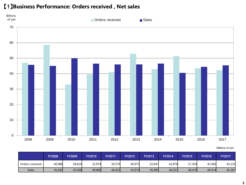#### 【1】**Business Performance: Orders received , Net sales**



|                 | <b>FY2008</b> | <b>FY2009</b> | <b>FY2010</b> | FY2011 | <b>FY2012</b> | FY2013 | <b>FY2014</b> | <b>FY2015</b> | <b>FY2016</b> | <b>FY2017</b> |
|-----------------|---------------|---------------|---------------|--------|---------------|--------|---------------|---------------|---------------|---------------|
| Orders received | 46,988        | 58,624        | 32,974        | 39,579 | 40,975        | 52,847 | 42,878        | 51,304        | 43,483        | 42,233        |
| <b>Sales</b>    | 45,692        | 45,008        | 49,880        | 46,453 | 45,974        | 45,985 | 46,501        | 40,479        | 44,414        | 45,381        |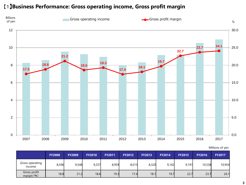#### 【1】**Business Performance: Gross operating income, Gross profit margin**



|                                  | <b>FY2008</b> | <b>FY2009</b> | <b>FY2010</b> | <b>FY2011</b> | <b>FY2012</b> | <b>FY2013</b> | <b>FY2014</b> | <b>FY2015</b> | <b>FY2016</b> | <b>FY2017</b> |
|----------------------------------|---------------|---------------|---------------|---------------|---------------|---------------|---------------|---------------|---------------|---------------|
| Gross operating<br><i>income</i> | 8,596         | 9,548         | 9,257         | 8,959         | 8,015         | 8,320         | 9,162         | 9.191         | 10,538        | 10,954        |
| Gross profit<br>margin( %)       | 18.8          | 21.2          | 18.6          | 19.3          | 17.4          | 18.1          | 19.7          | 22.7          | 23.7          | 24.1          |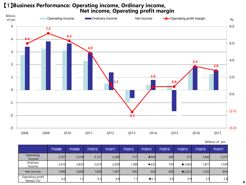## 【1】**Business Performance: Operating income, Ordinary income, Net income, Operating profit margin**



Millions of yen

|                                | <b>FY2008</b> | <b>FY2009</b> | <b>FY2010</b> | <b>FY2011</b> | <b>FY2012</b> | <b>FY2013</b>        | <b>FY2014</b> | <b>FY2015</b>     | <b>FY2016</b> | <b>FY2017</b> |
|--------------------------------|---------------|---------------|---------------|---------------|---------------|----------------------|---------------|-------------------|---------------|---------------|
| Operating<br>income            | 2,761         | 3,258         | 3,127         | 2,286         | 517           | $\triangle$ 945      | 400           | 373               | 1,462         | 1,257         |
| Ordinary<br>Income             | 3,410         | 3,833         | 3,673         | 2,929         | 1,389         | ▲632                 | 793           | $\triangle$ 1,663 | 1,871         | ,549          |
| Net income                     | 1,990         | 2,609         | 1,892         | 1,497         | 943           | 442                  | 405           | $\triangle$ 2,422 | 1,532         | 854           |
| Operating profit<br>Margin (%) | 6.0           | 7.2           | 6.3           | 4.9           | 1.1           | $\blacktriangle$ 2.1 | 0.9           | 0.9               | 3.3           | 2.8           |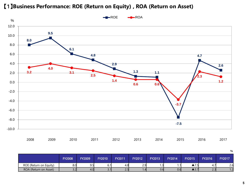

#### 【1】**Business Performance: ROE (Return on Equity) , ROA (Return on Asset)**

|                        |               |               |               |               |               |               |                     |               |               | %             |
|------------------------|---------------|---------------|---------------|---------------|---------------|---------------|---------------------|---------------|---------------|---------------|
|                        | <b>FY2008</b> | <b>FY2009</b> | <b>FY2010</b> | <b>FY2011</b> | <b>FY2012</b> | <b>FY2013</b> | <b>FY2014</b>       | <b>FY2015</b> | <b>FY2016</b> | <b>FY2017</b> |
| ROE (Return on Equity) | 8.0           | ວ.ວ           | V. II         | 4.8           | 2.9           | ا ت.          | $\left  .1 \right $ | 7.5           | 4.,           | 2.6           |
| ROA (Return on Asset)  | 5.4           | 4.0           | 3. II         | <u></u>       | 4. ا          | 0.6           | 0.6                 | $-5.1$        | د.ء           | ے. ا          |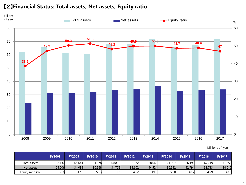#### 【2】**Financial Status: Total assets, Net assets, Equity ratio**



|                  | <b>FY2008</b> | <b>FY2009</b> | <b>FY2010</b> | <b>FY2011</b> | <b>FY2012</b> | <b>FY2013</b> | <b>FY2014</b> | <b>FY2015</b> | <b>FY2016</b> | FY2017 |
|------------------|---------------|---------------|---------------|---------------|---------------|---------------|---------------|---------------|---------------|--------|
| Total assets     | 62,132        | 65,641        | .178<br>61    | 60,812        | 68,232        | 68,062        | 71,987        | 66.198        | 67,719        | 71,651 |
| Net assets       | 24,006        | 31,083        | 30,968        | 31,775        | 33,602        | 34,524        | 36.532        | 32,794        | 33,713        | 34,017 |
| Equity ratio (%) | 38.6          | 47.2          | 50.3          |               | 48.2          | 49.9          | 50.0          | 48.7          | 48.9          | 47.0   |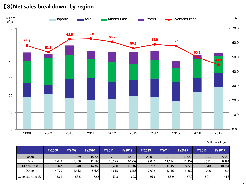#### 【3】**Net sales breakdown: by region**



Millions of yen

|                    | <b>FY2008</b> | <b>FY2009</b> | <b>FY2010</b> | <b>FY2011</b> | <b>FY2012</b> | <b>FY2013</b> | <b>FY2014</b> | <b>FY2015</b> | <b>FY2016</b> | <b>FY2017</b> |
|--------------------|---------------|---------------|---------------|---------------|---------------|---------------|---------------|---------------|---------------|---------------|
| Japan              | 19,126        | 20,939        | 18,703        | 17,281        | 18,070        | 20,096        | 19,104        | 17,059        | 22,153        | 25,058        |
| Asia               | 8.449         | 5,408         | 11,196        | 13,125        | 10,259        | 9.042         | 1.124         | 11,307        | 8,612         | 8,391         |
| Middle East        | 13,347        | 16,248        | 14,369        | 11,430        | 11,887        | 9,753         | 11,115        | 8,225         | 10,940        | 10,064        |
| <b>Others</b>      | 4,770         | 2.412         | 5,609         | 4,615         | 5,758         | 7,092         | 5,156         | 3,887         | 2,708         | 1,866         |
| Overseas ratio (%) | 58.1          | 53.5          | 62.5          | 62.8          | 60.7          | 56.3          | 58.9          | 57.9          | 50.1          | 44.8          |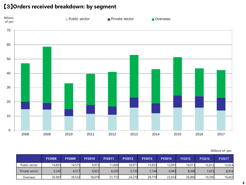#### 【3】**Orders received breakdown: by segment**



|                | <b>FY2008</b> | <b>FY2009</b> | <b>FY2010</b> | <b>FY2011</b> | <b>FY2012</b> | <b>FY2013</b> | <b>FY2014</b> | <b>FY2015</b> | <b>FY2016</b> | <b>FY2017</b> |
|----------------|---------------|---------------|---------------|---------------|---------------|---------------|---------------|---------------|---------------|---------------|
| Public sector  | 14,835        | 14,575        | 9,973         | 11,600        | 10,971        | 15,923        | 12,001        | 16,013        | 15,913        | 13,914        |
| Private sector | 5,245         | 4,517         | 4,921         | 6,205         | 5,733         | 7,144         | 6,943         | 8,396         | 7,973         | 8,914         |
| Overseas       | 26.907        | 39,532        | 18,079        | ,772<br>21    | 24,270        | 29,779        | 23,933        | 26,895        | 19,595        | 19,403        |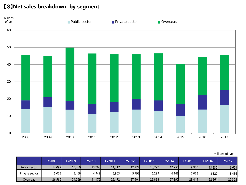#### 【3】**Net sales breakdown: by segment**



Millions of yen

|                | <b>FY2008</b> | <b>FY2009</b> | <b>FY2010</b> | <b>FY2011</b> | <b>FY2012</b> | <b>FY2013</b> | FY2014 | <b>FY2015</b> | <b>FY2016</b> | <b>FY2017</b> |
|----------------|---------------|---------------|---------------|---------------|---------------|---------------|--------|---------------|---------------|---------------|
| Public sector  | 14,099        | 15,469        | 13,760        | 11,317        | 12,277        | 13,797        | 12,957 | 9,980         | 13,832        | 16,621        |
| Private sector | 5,025         | 5,468         | 4,942         | 5,963         | 5,792         | 6,299         | 6,146  | 7,078         | 8,320         | 8,436         |
| Overseas       | 26,566        | 24,069        | 31,176        | 29,172        | 27,904        | 25,888        | 27,397 | 23,419        | 22,261        | 20,322        |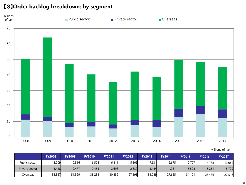#### 【3】**Order backlog breakdown: by segment**



|                | <b>FY2008</b> | <b>FY2009</b> | <b>FY2010</b> | <b>FY2011</b> | <b>FY2012</b> | <b>FY2013</b> | <b>FY2014</b> | <b>FY2015</b> | <b>FY2016</b> | <b>FY2017</b> |
|----------------|---------------|---------------|---------------|---------------|---------------|---------------|---------------|---------------|---------------|---------------|
| Public sector  | 11,209        | 10,316        | 6,528         | 6,811         | 5,505         | 7,631         | 6,675         | 12.707        | 14.788l       | 12,082        |
| Private sector | 3,428         | 2,477         | 2,455         | 2,698         | 2,639         | 3,484         | 4,281         | 5,598         | 5,251         | 5,729         |
| Overseas       | 35,867        | 51,329        | 38,231        | 30,832        | 27,198        | 31,089        | 27,625        | 31,101        | 28,436        | 27,516        |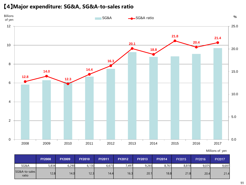#### 【4】**Major expenditure: SG&A, SG&A-to-sales ratio**



|                        | <b>FY2008</b> | <b>FY2009</b> | <b>FY2010</b> | <b>FY2011</b> | <b>FY2012</b> | <b>FY2013</b> | <b>FY2014</b> | <b>FY2015</b> | <b>FY2016</b> | <b>FY2017</b> |
|------------------------|---------------|---------------|---------------|---------------|---------------|---------------|---------------|---------------|---------------|---------------|
| SG&A                   | 5,834         | 6,290         | 6,130         | 6,673         | 7,497         | 9,265         | 8,761         | 8,818         | 9,075         | 9,697         |
| SG&A-to-sales<br>ratio | 12.8          | 14.0          | 12.3          | 14.4          | 16.3          | 20.1          | 18.8          | 21.8          | 20.4          | 21.4          |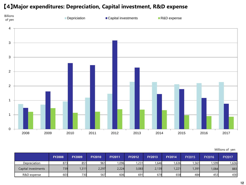#### 【4】**Major expenditures: Depreciation, Capital investment, R&D expense**



|                     | <b>FY2008</b> | <b>FY2009</b> | <b>FY2010</b> | <b>FY2011</b> | <b>FY2012</b> | <b>FY2013</b> | <b>FY2014</b> | <b>FY2015</b> | <b>FY2016</b> | <b>FY2017</b> |
|---------------------|---------------|---------------|---------------|---------------|---------------|---------------|---------------|---------------|---------------|---------------|
| Depreciation        | 873           | 851           | 961           | ,096          | 1,231         | 1,646         | ,636          | ,561          | ,599          | 1,636         |
| Capital investments | 739           | , 311         | 2,297         | 2,224         | 3,083         | 2,139         | ,221          | 1,391         | 1,084         | 883           |
| R&D expense         | 603           | 730           | 567           | 606           | 691           | 678           | 658           | 484           | 453           | 430           |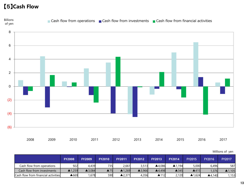#### 【5】**Cash Flow**



| Millions of yen |  |
|-----------------|--|
|                 |  |

|                                     | <b>FY2008</b> | <b>FY2009</b>     | <b>FY2010</b>       | <b>FY2011</b>     | <b>FY2012</b>     | <b>FY2013</b> | <b>FY2014</b> | <b>FY2015</b>   | <b>FY2016</b>          | FY2017 |
|-------------------------------------|---------------|-------------------|---------------------|-------------------|-------------------|---------------|---------------|-----------------|------------------------|--------|
| Cash flow from operations           | 922           | 4,439             | 735                 | 2,661             | 3,513             | ▲4.086        | ▲1.194        | 5,000           | 6.496                  | 587    |
| Cash flow from investments          | ▲1,259        | $\triangle$ 3.084 | $\blacktriangle$ 75 | $\triangle$ 1.269 | $\triangle$ 3.966 | ▲4,498        | ▲345          | $\triangle$ 415 | 1,376                  | ▲1,105 |
| Cash flow from financial activities | ▲669          | ,678              | 590                 | $\triangle$ 2.371 | 4.356             | ▲112          | 2,120         | ▲1.624          | $\blacktriangle$ 4,140 | 1,153  |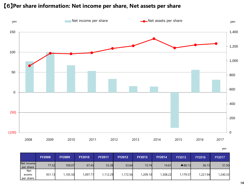#### 【6】**Per share information: Net income per share, Net assets per share**



| I<br>×<br>$\sim$ |  |
|------------------|--|
|------------------|--|

|                            | <b>FY2008</b> | <b>FY2009</b> | <b>FY2010</b> | <b>FY2011</b> | <b>FY2012</b> | <b>FY2013</b> | <b>FY2014</b> | <b>FY2015</b> | <b>FY2016</b> | <b>FY2017</b> |
|----------------------------|---------------|---------------|---------------|---------------|---------------|---------------|---------------|---------------|---------------|---------------|
| Net incomel<br>per share   | 77.32         | 100.07        | 67.45         | 53.38         | 33.64         | 15.74         | 14.61         | ▲88.13        | 56.15         | 31.50         |
| Net<br>assets<br>per share | 931.13        | 105.50        | 1,097.71      | 1,112.29      | 1,172.56      | 1,209.10      | ,308.22       | 1.179.57      | 1,221.94      | 1,240.33      |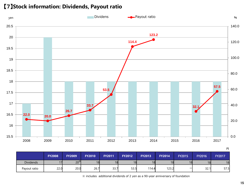



|                  |               |               |               |               |               |               |               |               |               | . .    |
|------------------|---------------|---------------|---------------|---------------|---------------|---------------|---------------|---------------|---------------|--------|
|                  | <b>FY2008</b> | <b>FY2009</b> | <b>FY2010</b> | <b>FY2011</b> | <b>FY2012</b> | <b>FY2013</b> | <b>FY2014</b> | <b>FY2015</b> | <b>FY2016</b> | FY2017 |
| <b>Dividends</b> |               | $20^*$        | 18            | 18            |               | 18            | 18            |               | 18            | 18     |
| Payout ratio     | 22.0          | 20.0          | 26.7          | 33.7          | 53.5          | 114.4         | 123.2         | –             | 32.1          | 57.5   |

※ includes additional dividends of 2 yen as a 90-year anniversary of foundation